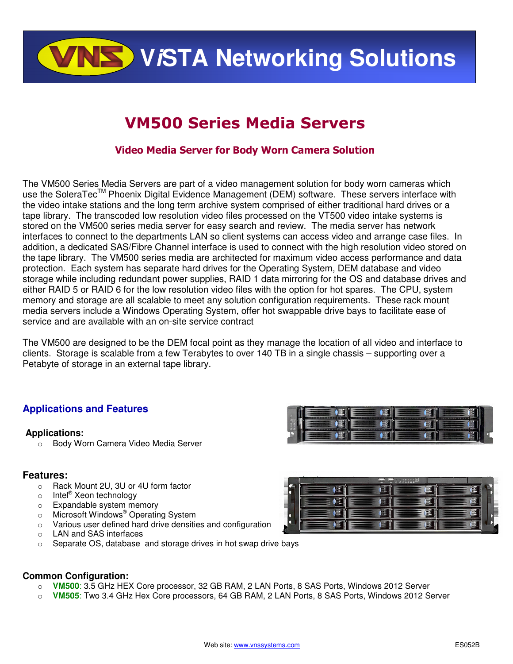**VISTA Networking Solutions** 

# VM500 Series Media Servers

### Video Media Server for Body Worn Camera Solution

The VM500 Series Media Servers are part of a video management solution for body worn cameras which use the SoleraTec<sup>™</sup> Phoenix Digital Evidence Management (DEM) software. These servers interface with the video intake stations and the long term archive system comprised of either traditional hard drives or a tape library. The transcoded low resolution video files processed on the VT500 video intake systems is stored on the VM500 series media server for easy search and review. The media server has network interfaces to connect to the departments LAN so client systems can access video and arrange case files. In addition, a dedicated SAS/Fibre Channel interface is used to connect with the high resolution video stored on the tape library. The VM500 series media are architected for maximum video access performance and data protection. Each system has separate hard drives for the Operating System, DEM database and video storage while including redundant power supplies, RAID 1 data mirroring for the OS and database drives and either RAID 5 or RAID 6 for the low resolution video files with the option for hot spares. The CPU, system memory and storage are all scalable to meet any solution configuration requirements. These rack mount media servers include a Windows Operating System, offer hot swappable drive bays to facilitate ease of service and are available with an on-site service contract

The VM500 are designed to be the DEM focal point as they manage the location of all video and interface to clients. Storage is scalable from a few Terabytes to over 140 TB in a single chassis – supporting over a Petabyte of storage in an external tape library.

### **Applications and Features**

### **Applications:**

o Body Worn Camera Video Media Server

### **Features:**

- o Rack Mount 2U, 3U or 4U form factor
- o Intel<sup>®</sup> Xeon technology
- o Expandable system memory
- o Microsoft Windows<sup>®</sup> Operating System
- o Various user defined hard drive densities and configuration
- o LAN and SAS interfaces
- o Separate OS, database and storage drives in hot swap drive bays

### **Common Configuration:**

- o **VM500**: 3.5 GHz HEX Core processor, 32 GB RAM, 2 LAN Ports, 8 SAS Ports, Windows 2012 Server
- o **VM505**: Two 3.4 GHz Hex Core processors, 64 GB RAM, 2 LAN Ports, 8 SAS Ports, Windows 2012 Server

彦

Œ

硕

**C** 

**A 3**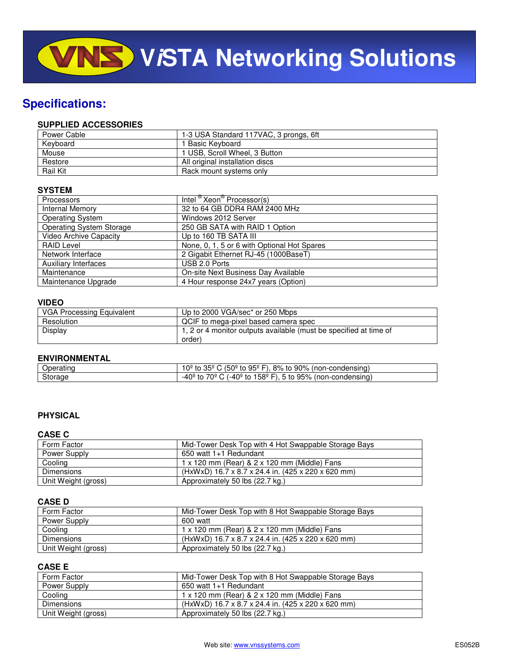## **Specifications:**

### **SUPPLIED ACCESSORIES**

| Power Cable     | 1-3 USA Standard 117VAC, 3 prongs, 6ft |
|-----------------|----------------------------------------|
| Keyboard        | 1 Basic Keyboard                       |
| Mouse           | 1 USB, Scroll Wheel, 3 Button          |
| Restore         | All original installation discs        |
| <b>Rail Kit</b> | Rack mount systems only                |

### **SYSTEM**

| <b>Processors</b>               | Intel <sup>®</sup> Xeon <sup>®</sup> Processor(s) |
|---------------------------------|---------------------------------------------------|
| Internal Memory                 | 32 to 64 GB DDR4 RAM 2400 MHz                     |
| <b>Operating System</b>         | Windows 2012 Server                               |
| <b>Operating System Storage</b> | 250 GB SATA with RAID 1 Option                    |
| Video Archive Capacity          | Up to 160 TB SATA III                             |
| <b>RAID Level</b>               | None, 0, 1, 5 or 6 with Optional Hot Spares       |
| Network Interface               | 2 Gigabit Ethernet RJ-45 (1000BaseT)              |
| <b>Auxiliary Interfaces</b>     | USB 2.0 Ports                                     |
| Maintenance                     | On-site Next Business Day Available               |
| Maintenance Upgrade             | 4 Hour response 24x7 years (Option)               |

### **VIDEO**

| <b>VGA Processing Equivalent</b> | Up to 2000 VGA/sec* or 250 Mbps                                   |
|----------------------------------|-------------------------------------------------------------------|
| Resolution                       | QCIF to mega-pixel based camera spec                              |
| Display                          | 1, 2 or 4 monitor outputs available (must be specified at time of |
|                                  | order)                                                            |

### **ENVIRONMENTAL**

| ------<br>)ne | $95^{\circ}$ F)<br>$90\%$<br>50°<br>8% to<br>condensina`<br>non-c'<br>τo.                          |
|---------------|----------------------------------------------------------------------------------------------------|
| Storage       | 7∩º.<br>1∩º<br>158º<br>-40 $^{\circ}$<br>95%<br>ondensing<br>'non-∟<br>TO.<br>to<br>∼<br>-4u<br>īΟ |

### **PHYSICAL**

### **CASE C**

| Form Factor         | Mid-Tower Desk Top with 4 Hot Swappable Storage Bays |
|---------------------|------------------------------------------------------|
| Power Supply        | 650 watt 1+1 Redundant                               |
| Cooling             | 1 x 120 mm (Rear) & 2 x 120 mm (Middle) Fans         |
| Dimensions          | (HxWxD) 16.7 x 8.7 x 24.4 in. (425 x 220 x 620 mm)   |
| Unit Weight (gross) | Approximately 50 lbs (22.7 kg.)                      |

### **CASE D**

| Form Factor         | Mid-Tower Desk Top with 8 Hot Swappable Storage Bays |
|---------------------|------------------------------------------------------|
| Power Supply        | 600 watt                                             |
| Cooling             | 1 x 120 mm (Rear) & 2 x 120 mm (Middle) Fans         |
| <b>Dimensions</b>   | (HxWxD) 16.7 x 8.7 x 24.4 in. (425 x 220 x 620 mm)   |
| Unit Weight (gross) | Approximately 50 lbs (22.7 kg.)                      |

### **CASE E**

| Form Factor         | Mid-Tower Desk Top with 8 Hot Swappable Storage Bays |
|---------------------|------------------------------------------------------|
| Power Supply        | 650 watt 1+1 Redundant                               |
| Cooling             | 1 x 120 mm (Rear) & 2 x 120 mm (Middle) Fans         |
| Dimensions          | (HxWxD) 16.7 x 8.7 x 24.4 in. (425 x 220 x 620 mm)   |
| Unit Weight (gross) | Approximately 50 lbs (22.7 kg.)                      |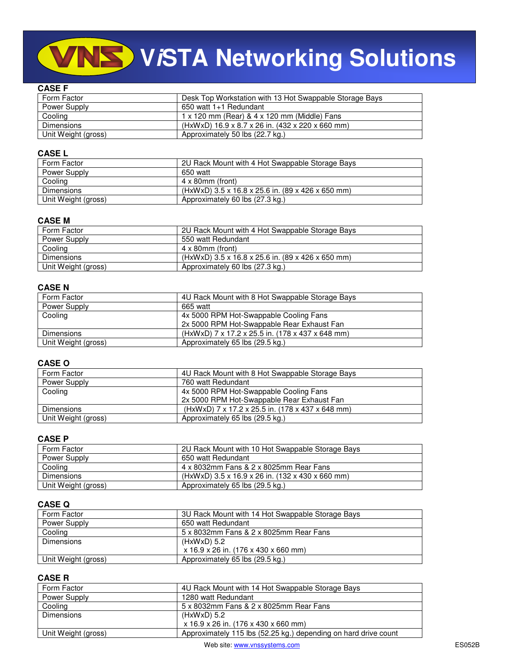# **ViSTA Networking Solutions**

### **CASE F**

| Form Factor         | Desk Top Workstation with 13 Hot Swappable Storage Bays |
|---------------------|---------------------------------------------------------|
| Power Supply        | 650 watt 1+1 Redundant                                  |
| Cooling             | 1 x 120 mm (Rear) & 4 x 120 mm (Middle) Fans            |
| <b>Dimensions</b>   | (HxWxD) 16.9 x 8.7 x 26 in. (432 x 220 x 660 mm)        |
| Unit Weight (gross) | Approximately 50 lbs (22.7 kg.)                         |

### **CASE L**

| Form Factor         | 2U Rack Mount with 4 Hot Swappable Storage Bays   |
|---------------------|---------------------------------------------------|
| Power Supply        | 650 watt                                          |
| Cooling             | $4 \times 80$ mm (front)                          |
| Dimensions          | (HxWxD) 3.5 x 16.8 x 25.6 in. (89 x 426 x 650 mm) |
| Unit Weight (gross) | Approximately 60 lbs (27.3 kg.)                   |

### **CASE M**

| Form Factor         | 2U Rack Mount with 4 Hot Swappable Storage Bays   |
|---------------------|---------------------------------------------------|
| Power Supply        | 550 watt Redundant                                |
| Cooling             | $4 \times 80$ mm (front)                          |
| Dimensions          | (HxWxD) 3.5 x 16.8 x 25.6 in. (89 x 426 x 650 mm) |
| Unit Weight (gross) | Approximately 60 lbs (27.3 kg.)                   |

### **CASE N**

| Form Factor         | 4U Rack Mount with 8 Hot Swappable Storage Bays  |
|---------------------|--------------------------------------------------|
| Power Supply        | 665 watt                                         |
| Cooling             | 4x 5000 RPM Hot-Swappable Cooling Fans           |
|                     | 2x 5000 RPM Hot-Swappable Rear Exhaust Fan       |
| <b>Dimensions</b>   | (HxWxD) 7 x 17.2 x 25.5 in. (178 x 437 x 648 mm) |
| Unit Weight (gross) | Approximately 65 lbs (29.5 kg.)                  |

### **CASE O**

| Form Factor         | 4U Rack Mount with 8 Hot Swappable Storage Bays  |
|---------------------|--------------------------------------------------|
| Power Supply        | 760 watt Redundant                               |
| Cooling             | 4x 5000 RPM Hot-Swappable Cooling Fans           |
|                     | 2x 5000 RPM Hot-Swappable Rear Exhaust Fan       |
| Dimensions          | (HxWxD) 7 x 17.2 x 25.5 in. (178 x 437 x 648 mm) |
| Unit Weight (gross) | Approximately 65 lbs (29.5 kg.)                  |

### **CASE P**

| Form Factor         | 2U Rack Mount with 10 Hot Swappable Storage Bays   |
|---------------------|----------------------------------------------------|
| Power Supply        | 650 watt Redundant                                 |
| Cooling             | 4 x 8032mm Fans & 2 x 8025mm Rear Fans             |
| Dimensions          | $(HxWxD)$ 3.5 x 16.9 x 26 in. (132 x 430 x 660 mm) |
| Unit Weight (gross) | Approximately 65 lbs (29.5 kg.)                    |

### **CASE Q**

| Form Factor         | 3U Rack Mount with 14 Hot Swappable Storage Bays |
|---------------------|--------------------------------------------------|
| Power Supply        | 650 watt Redundant                               |
| Cooling             | 5 x 8032mm Fans & 2 x 8025mm Rear Fans           |
| Dimensions          | $(HxWxD)$ 5.2                                    |
|                     | x 16.9 x 26 in. (176 x 430 x 660 mm)             |
| Unit Weight (gross) | Approximately 65 lbs (29.5 kg.)                  |

### **CASE R**

| Form Factor         | 4U Rack Mount with 14 Hot Swappable Storage Bays                |
|---------------------|-----------------------------------------------------------------|
| Power Supply        | 1280 watt Redundant                                             |
| Cooling             | 5 x 8032mm Fans & 2 x 8025mm Rear Fans                          |
| <b>Dimensions</b>   | $(HxWxD)$ 5.2                                                   |
|                     | x 16.9 x 26 in. (176 x 430 x 660 mm)                            |
| Unit Weight (gross) | Approximately 115 lbs (52.25 kg.) depending on hard drive count |